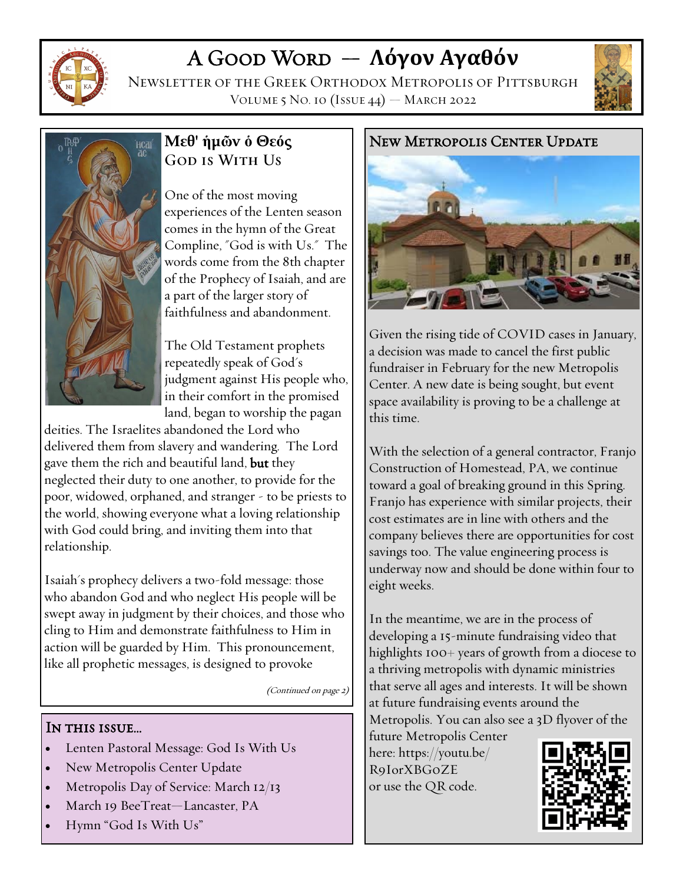

# A Good Word — **Λόγον Αγαθόν**

Newsletter of the Greek Orthodox Metropolis of Pittsburgh VOLUME 5 NO. 10  $(IssUE 44)$  – March 2022





# **Μεθ' ἡμῶν ὁ Θεός GOD IS WITH US**

One of the most moving experiences of the Lenten season comes in the hymn of the Great Compline, "God is with Us." The words come from the 8th chapter of the Prophecy of Isaiah, and are a part of the larger story of faithfulness and abandonment.

The Old Testament prophets repeatedly speak of God's judgment against His people who, in their comfort in the promised land, began to worship the pagan

deities. The Israelites abandoned the Lord who delivered them from slavery and wandering. The Lord gave them the rich and beautiful land, but they neglected their duty to one another, to provide for the poor, widowed, orphaned, and stranger - to be priests to the world, showing everyone what a loving relationship with God could bring, and inviting them into that relationship.

Isaiah's prophecy delivers a two-fold message: those who abandon God and who neglect His people will be swept away in judgment by their choices, and those who cling to Him and demonstrate faithfulness to Him in action will be guarded by Him. This pronouncement, like all prophetic messages, is designed to provoke

(Continued on page 2)

### IN THIS ISSUE...

- Lenten Pastoral Message: God Is With Us
- New Metropolis Center Update
- Metropolis Day of Service: March 12/13
- March 19 BeeTreat—Lancaster, PA
- Hymn "God Is With Us"

### New Metropolis Center Update



Given the rising tide of COVID cases in January, a decision was made to cancel the first public fundraiser in February for the new Metropolis Center. A new date is being sought, but event space availability is proving to be a challenge at this time.

With the selection of a general contractor, Franjo Construction of Homestead, PA, we continue toward a goal of breaking ground in this Spring. Franjo has experience with similar projects, their cost estimates are in line with others and the company believes there are opportunities for cost savings too. The value engineering process is underway now and should be done within four to eight weeks.

In the meantime, we are in the process of developing a 15-minute fundraising video that highlights 100+ years of growth from a diocese to a thriving metropolis with dynamic ministries that serve all ages and interests. It will be shown at future fundraising events around the Metropolis. You can also see a 3D flyover of the

future Metropolis Center here: https://youtu.be/ R9IorXBG0ZE or use the QR code.